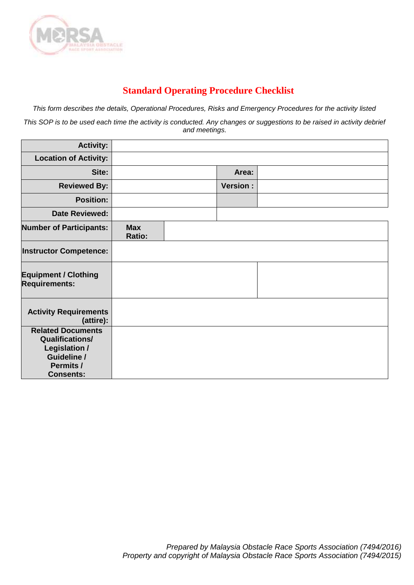

## **Standard Operating Procedure Checklist**

*This form describes the details, Operational Procedures, Risks and Emergency Procedures for the activity listed*

*This SOP is to be used each time the activity is conducted. Any changes or suggestions to be raised in activity debrief and meetings.*

| <b>Activity:</b>                                                                                                    |                      |                 |  |
|---------------------------------------------------------------------------------------------------------------------|----------------------|-----------------|--|
| <b>Location of Activity:</b>                                                                                        |                      |                 |  |
| Site:                                                                                                               |                      | Area:           |  |
| <b>Reviewed By:</b>                                                                                                 |                      | <b>Version:</b> |  |
| <b>Position:</b>                                                                                                    |                      |                 |  |
| <b>Date Reviewed:</b>                                                                                               |                      |                 |  |
| <b>Number of Participants:</b>                                                                                      | <b>Max</b><br>Ratio: |                 |  |
| <b>Instructor Competence:</b>                                                                                       |                      |                 |  |
| <b>Equipment / Clothing</b><br><b>Requirements:</b>                                                                 |                      |                 |  |
| <b>Activity Requirements</b><br>(attire):                                                                           |                      |                 |  |
| <b>Related Documents</b><br><b>Qualifications/</b><br>Legislation /<br>Guideline /<br>Permits /<br><b>Consents:</b> |                      |                 |  |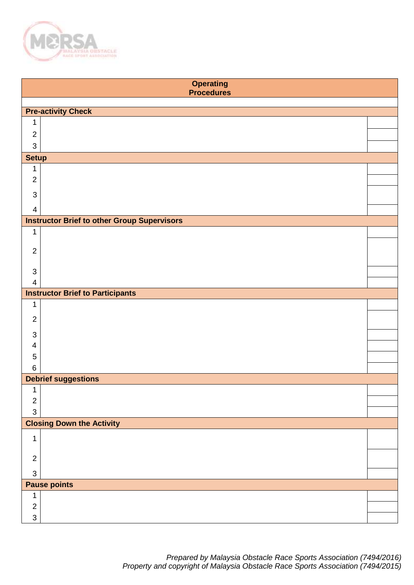

|                           | <b>Operating</b><br><b>Procedures</b>              |  |
|---------------------------|----------------------------------------------------|--|
|                           |                                                    |  |
|                           | <b>Pre-activity Check</b>                          |  |
| 1                         |                                                    |  |
| $\overline{2}$            |                                                    |  |
| $\ensuremath{\mathsf{3}}$ |                                                    |  |
| <b>Setup</b>              |                                                    |  |
| 1                         |                                                    |  |
| $\overline{2}$            |                                                    |  |
| $\mathbf{3}$              |                                                    |  |
| $\overline{4}$            |                                                    |  |
|                           | <b>Instructor Brief to other Group Supervisors</b> |  |
| $\mathbf 1$               |                                                    |  |
|                           |                                                    |  |
| $\overline{2}$            |                                                    |  |
| 3                         |                                                    |  |
| $\overline{4}$            |                                                    |  |
|                           | <b>Instructor Brief to Participants</b>            |  |
| 1                         |                                                    |  |
| $\overline{2}$            |                                                    |  |
|                           |                                                    |  |
| $\mathsf 3$<br>4          |                                                    |  |
| $\overline{5}$            |                                                    |  |
| $\,6$                     |                                                    |  |
|                           | <b>Debrief suggestions</b>                         |  |
| 1                         |                                                    |  |
| $\overline{2}$            |                                                    |  |
| $\ensuremath{\mathsf{3}}$ |                                                    |  |
|                           | <b>Closing Down the Activity</b>                   |  |
| $\mathbf 1$               |                                                    |  |
| $\overline{2}$            |                                                    |  |
|                           |                                                    |  |
| $\ensuremath{\mathsf{3}}$ |                                                    |  |
|                           | <b>Pause points</b>                                |  |
| 1                         |                                                    |  |
| $\overline{2}$            |                                                    |  |
| 3                         |                                                    |  |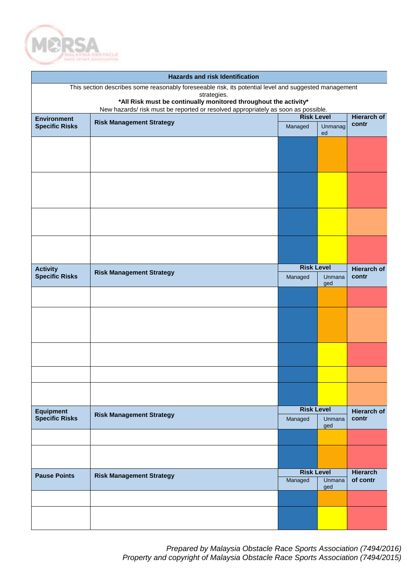

|                       | <b>Hazards and risk Identification</b>                                                                               |                             |               |                             |  |  |  |
|-----------------------|----------------------------------------------------------------------------------------------------------------------|-----------------------------|---------------|-----------------------------|--|--|--|
|                       | This section describes some reasonably foreseeable risk, its potential level and suggested management<br>strategies. |                             |               |                             |  |  |  |
|                       | *All Risk must be continually monitored throughout the activity*                                                     |                             |               |                             |  |  |  |
| <b>Environment</b>    | New hazards/ risk must be reported or resolved appropriately as soon as possible.                                    | <b>Risk Level</b>           |               | <b>Hierarch of</b>          |  |  |  |
| <b>Specific Risks</b> | <b>Risk Management Strategy</b>                                                                                      | Managed                     | Unmanag<br>ed | contr                       |  |  |  |
|                       |                                                                                                                      |                             |               |                             |  |  |  |
|                       |                                                                                                                      |                             |               |                             |  |  |  |
|                       |                                                                                                                      |                             |               |                             |  |  |  |
|                       |                                                                                                                      |                             |               |                             |  |  |  |
|                       |                                                                                                                      |                             |               |                             |  |  |  |
|                       |                                                                                                                      |                             |               |                             |  |  |  |
|                       |                                                                                                                      |                             |               |                             |  |  |  |
|                       |                                                                                                                      |                             |               |                             |  |  |  |
|                       |                                                                                                                      |                             |               |                             |  |  |  |
|                       |                                                                                                                      |                             |               |                             |  |  |  |
| <b>Activity</b>       | <b>Risk Management Strategy</b>                                                                                      | <b>Risk Level</b>           |               | <b>Hierarch of</b>          |  |  |  |
| <b>Specific Risks</b> |                                                                                                                      | Managed                     | Unmana<br>ged | contr                       |  |  |  |
|                       |                                                                                                                      |                             |               |                             |  |  |  |
|                       |                                                                                                                      |                             |               |                             |  |  |  |
|                       |                                                                                                                      |                             |               |                             |  |  |  |
|                       |                                                                                                                      |                             |               |                             |  |  |  |
|                       |                                                                                                                      |                             |               |                             |  |  |  |
|                       |                                                                                                                      |                             |               |                             |  |  |  |
|                       |                                                                                                                      |                             |               |                             |  |  |  |
|                       |                                                                                                                      |                             |               |                             |  |  |  |
|                       |                                                                                                                      |                             |               |                             |  |  |  |
| <b>Equipment</b>      | <b>Risk Management Strategy</b>                                                                                      | <b>Risk Level</b>           |               | <b>Hierarch of</b>          |  |  |  |
| <b>Specific Risks</b> |                                                                                                                      | Managed                     | Unmana<br>ged | contr                       |  |  |  |
|                       |                                                                                                                      |                             |               |                             |  |  |  |
|                       |                                                                                                                      |                             |               |                             |  |  |  |
|                       |                                                                                                                      |                             |               |                             |  |  |  |
| <b>Pause Points</b>   | <b>Risk Management Strategy</b>                                                                                      | <b>Risk Level</b><br>Unmana |               | <b>Hierarch</b><br>of contr |  |  |  |
|                       |                                                                                                                      | Managed                     | ged           |                             |  |  |  |
|                       |                                                                                                                      |                             |               |                             |  |  |  |
|                       |                                                                                                                      |                             |               |                             |  |  |  |
|                       |                                                                                                                      |                             |               |                             |  |  |  |